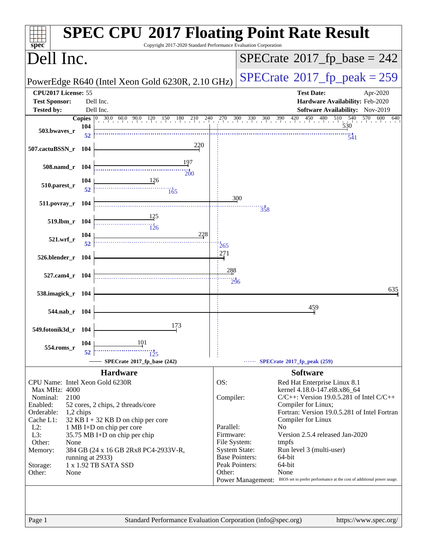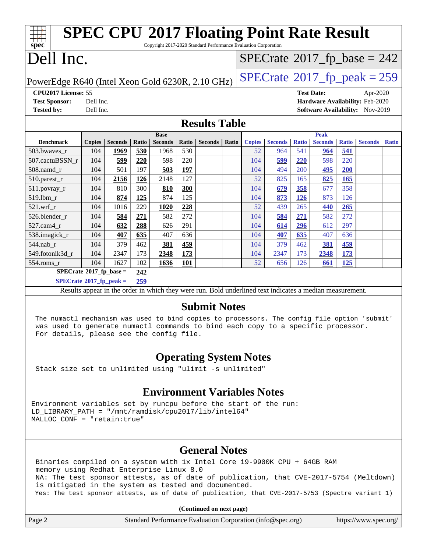| <b>SPEC CPU®2017 Floating Point Rate Result</b>                                                                              |                                                      |                                            |       |                |       |                                                                                                          |       |               |                |              |                                 |              |                                 |              |
|------------------------------------------------------------------------------------------------------------------------------|------------------------------------------------------|--------------------------------------------|-------|----------------|-------|----------------------------------------------------------------------------------------------------------|-------|---------------|----------------|--------------|---------------------------------|--------------|---------------------------------|--------------|
| Copyright 2017-2020 Standard Performance Evaluation Corporation<br>spec                                                      |                                                      |                                            |       |                |       |                                                                                                          |       |               |                |              |                                 |              |                                 |              |
| Dell Inc.                                                                                                                    |                                                      | $SPECrate$ <sup>®</sup> 2017_fp_base = 242 |       |                |       |                                                                                                          |       |               |                |              |                                 |              |                                 |              |
| $SPECTate@2017_fp\_peak = 259$<br>PowerEdge R640 (Intel Xeon Gold 6230R, 2.10 GHz)                                           |                                                      |                                            |       |                |       |                                                                                                          |       |               |                |              |                                 |              |                                 |              |
|                                                                                                                              | CPU2017 License: 55<br><b>Test Date:</b><br>Apr-2020 |                                            |       |                |       |                                                                                                          |       |               |                |              |                                 |              |                                 |              |
| <b>Test Sponsor:</b>                                                                                                         | Dell Inc.                                            |                                            |       |                |       |                                                                                                          |       |               |                |              | Hardware Availability: Feb-2020 |              |                                 |              |
| <b>Tested by:</b>                                                                                                            | Dell Inc.                                            |                                            |       |                |       |                                                                                                          |       |               |                |              |                                 |              | Software Availability: Nov-2019 |              |
| <b>Results Table</b>                                                                                                         |                                                      |                                            |       |                |       |                                                                                                          |       |               |                |              |                                 |              |                                 |              |
|                                                                                                                              |                                                      |                                            |       | <b>Base</b>    |       |                                                                                                          |       |               |                |              | <b>Peak</b>                     |              |                                 |              |
| <b>Benchmark</b>                                                                                                             | <b>Copies</b>                                        | <b>Seconds</b>                             | Ratio | <b>Seconds</b> | Ratio | <b>Seconds</b>                                                                                           | Ratio | <b>Copies</b> | <b>Seconds</b> | <b>Ratio</b> | <b>Seconds</b>                  | <b>Ratio</b> | <b>Seconds</b>                  | <b>Ratio</b> |
| 503.bwaves_r                                                                                                                 | 104                                                  | 1969                                       | 530   | 1968           | 530   |                                                                                                          |       | 52            | 964            | 541          | 964                             | 541          |                                 |              |
| 507.cactuBSSN_r                                                                                                              | 104                                                  | 599                                        | 220   | 598            | 220   |                                                                                                          |       | 104           | 599            | 220          | 598                             | 220          |                                 |              |
| 508.namd_r                                                                                                                   | 104                                                  | 501                                        | 197   | 503            | 197   |                                                                                                          |       | 104           | 494            | 200          | 495                             | 200          |                                 |              |
| $510$ .parest_r                                                                                                              | 104                                                  | 2156                                       | 126   | 2148           | 127   |                                                                                                          |       | 52            | 825            | 165          | 825                             | 165          |                                 |              |
| 511.povray_r                                                                                                                 | 104                                                  | 810                                        | 300   | 810            | 300   |                                                                                                          |       | 104           | 679            | 358          | 677                             | 358          |                                 |              |
| 519.1bm r                                                                                                                    | 104                                                  | 874                                        | 125   | 874            | 125   |                                                                                                          |       | 104           | 873            | <b>126</b>   | 873                             | 126          |                                 |              |
| $521.wrf_r$                                                                                                                  | 104                                                  | 1016                                       | 229   | 1020           | 228   |                                                                                                          |       | 52            | 439            | 265          | 440                             | 265          |                                 |              |
| 526.blender_r                                                                                                                | 104                                                  | 584                                        | 271   | 582            | 272   |                                                                                                          |       | 104           | 584            | 271          | 582                             | 272          |                                 |              |
| 527.cam4_r                                                                                                                   | 104                                                  | 632                                        | 288   | 626            | 291   |                                                                                                          |       | 104           | 614            | 296          | 612                             | 297          |                                 |              |
| 538.imagick_r                                                                                                                | 104                                                  | 407                                        | 635   | 407            | 636   |                                                                                                          |       | 104           | 407            | 635          | 407                             | 636          |                                 |              |
| 544.nab_r                                                                                                                    | 104                                                  | 379                                        | 462   | 381            | 459   |                                                                                                          |       | 104           | 379            | 462          | 381                             | 459          |                                 |              |
| 549.fotonik3d_r                                                                                                              | 104                                                  | 2347                                       | 173   | 2348           | 173   |                                                                                                          |       | 104           | 2347           | 173          | 2348                            | 173          |                                 |              |
| 554.roms r                                                                                                                   | 104                                                  | 1627                                       | 102   | 1636           | 101   |                                                                                                          |       | 52            | 656            | 126          | 661                             | 125          |                                 |              |
| $SPECrate$ <sup>®</sup> 2017_fp_base =                                                                                       |                                                      |                                            | 242   |                |       |                                                                                                          |       |               |                |              |                                 |              |                                 |              |
| $SPECrate^{\circ}2017$ _fp_peak =                                                                                            |                                                      |                                            | 259   |                |       |                                                                                                          |       |               |                |              |                                 |              |                                 |              |
|                                                                                                                              |                                                      |                                            |       |                |       | Results appear in the order in which they were run. Bold underlined text indicates a median measurement. |       |               |                |              |                                 |              |                                 |              |
|                                                                                                                              |                                                      |                                            |       |                |       | <b>Submit Notes</b>                                                                                      |       |               |                |              |                                 |              |                                 |              |
| The numactl mechanism was used to bind copies to processors. The config file option 'submit'                                 |                                                      |                                            |       |                |       |                                                                                                          |       |               |                |              |                                 |              |                                 |              |
| was used to generate numactl commands to bind each copy to a specific processor.<br>For details, please see the config file. |                                                      |                                            |       |                |       |                                                                                                          |       |               |                |              |                                 |              |                                 |              |

### **[Operating System Notes](http://www.spec.org/auto/cpu2017/Docs/result-fields.html#OperatingSystemNotes)**

Stack size set to unlimited using "ulimit -s unlimited"

### **[Environment Variables Notes](http://www.spec.org/auto/cpu2017/Docs/result-fields.html#EnvironmentVariablesNotes)**

Environment variables set by runcpu before the start of the run: LD\_LIBRARY\_PATH = "/mnt/ramdisk/cpu2017/lib/intel64" MALLOC\_CONF = "retain:true"

### **[General Notes](http://www.spec.org/auto/cpu2017/Docs/result-fields.html#GeneralNotes)**

 Binaries compiled on a system with 1x Intel Core i9-9900K CPU + 64GB RAM memory using Redhat Enterprise Linux 8.0 NA: The test sponsor attests, as of date of publication, that CVE-2017-5754 (Meltdown) is mitigated in the system as tested and documented. Yes: The test sponsor attests, as of date of publication, that CVE-2017-5753 (Spectre variant 1)

**(Continued on next page)**

| Page 2 | Standard Performance Evaluation Corporation (info@spec.org) | https://www.spec.org/ |
|--------|-------------------------------------------------------------|-----------------------|
|--------|-------------------------------------------------------------|-----------------------|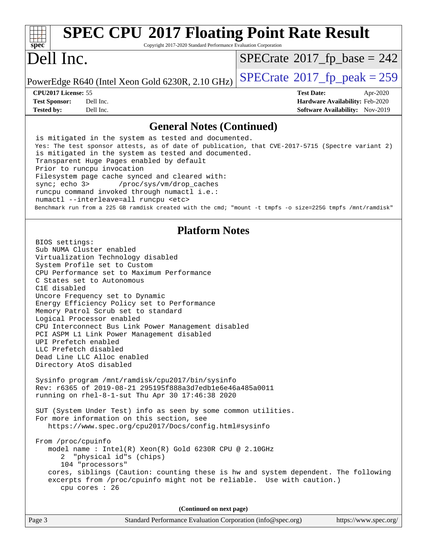| <b>SPEC CPU®2017 Floating Point Rate Result</b><br>Copyright 2017-2020 Standard Performance Evaluation Corporation<br>$spec^*$                                                                                                                                                                                                                                                                                                                                                                                                                                                                                                                                                                                                                                                                                                                                                                                                                                                                                                                                                                                                                                                                                                                                               |                                                                                                            |
|------------------------------------------------------------------------------------------------------------------------------------------------------------------------------------------------------------------------------------------------------------------------------------------------------------------------------------------------------------------------------------------------------------------------------------------------------------------------------------------------------------------------------------------------------------------------------------------------------------------------------------------------------------------------------------------------------------------------------------------------------------------------------------------------------------------------------------------------------------------------------------------------------------------------------------------------------------------------------------------------------------------------------------------------------------------------------------------------------------------------------------------------------------------------------------------------------------------------------------------------------------------------------|------------------------------------------------------------------------------------------------------------|
| Dell Inc.                                                                                                                                                                                                                                                                                                                                                                                                                                                                                                                                                                                                                                                                                                                                                                                                                                                                                                                                                                                                                                                                                                                                                                                                                                                                    | $SPECrate^{\circ}2017$ fp base = 242                                                                       |
| PowerEdge R640 (Intel Xeon Gold 6230R, 2.10 GHz)                                                                                                                                                                                                                                                                                                                                                                                                                                                                                                                                                                                                                                                                                                                                                                                                                                                                                                                                                                                                                                                                                                                                                                                                                             | $SPECrate^{\circ}2017$ _fp_peak = 259                                                                      |
| CPU2017 License: 55<br><b>Test Sponsor:</b><br>Dell Inc.<br>Dell Inc.<br><b>Tested by:</b>                                                                                                                                                                                                                                                                                                                                                                                                                                                                                                                                                                                                                                                                                                                                                                                                                                                                                                                                                                                                                                                                                                                                                                                   | <b>Test Date:</b><br>Apr-2020<br>Hardware Availability: Feb-2020<br><b>Software Availability:</b> Nov-2019 |
| <b>General Notes (Continued)</b>                                                                                                                                                                                                                                                                                                                                                                                                                                                                                                                                                                                                                                                                                                                                                                                                                                                                                                                                                                                                                                                                                                                                                                                                                                             |                                                                                                            |
| is mitigated in the system as tested and documented.<br>Yes: The test sponsor attests, as of date of publication, that CVE-2017-5715 (Spectre variant 2)<br>is mitigated in the system as tested and documented.<br>Transparent Huge Pages enabled by default<br>Prior to runcpu invocation<br>Filesystem page cache synced and cleared with:<br>sync; echo 3><br>/proc/sys/vm/drop_caches<br>runcpu command invoked through numactl i.e.:<br>numactl --interleave=all runcpu <etc><br/>Benchmark run from a 225 GB ramdisk created with the cmd; "mount -t tmpfs -o size=225G tmpfs /mnt/ramdisk"</etc>                                                                                                                                                                                                                                                                                                                                                                                                                                                                                                                                                                                                                                                                     |                                                                                                            |
| <b>Platform Notes</b><br>BIOS settings:<br>Sub NUMA Cluster enabled<br>Virtualization Technology disabled<br>System Profile set to Custom<br>CPU Performance set to Maximum Performance<br>C States set to Autonomous<br>C1E disabled<br>Uncore Frequency set to Dynamic<br>Energy Efficiency Policy set to Performance<br>Memory Patrol Scrub set to standard<br>Logical Processor enabled<br>CPU Interconnect Bus Link Power Management disabled<br>PCI ASPM L1 Link Power Management disabled<br>UPI Prefetch enabled<br>LLC Prefetch disabled<br>Dead Line LLC Alloc enabled<br>Directory AtoS disabled<br>Sysinfo program /mnt/ramdisk/cpu2017/bin/sysinfo<br>Rev: r6365 of 2019-08-21 295195f888a3d7edble6e46a485a0011<br>running on rhel-8-1-sut Thu Apr 30 17:46:38 2020<br>SUT (System Under Test) info as seen by some common utilities.<br>For more information on this section, see<br>https://www.spec.org/cpu2017/Docs/config.html#sysinfo<br>From /proc/cpuinfo<br>model name : Intel(R) Xeon(R) Gold 6230R CPU @ 2.10GHz<br>"physical id"s (chips)<br>2<br>104 "processors"<br>cores, siblings (Caution: counting these is hw and system dependent. The following<br>excerpts from /proc/cpuinfo might not be reliable. Use with caution.)<br>cpu cores : 26 |                                                                                                            |
| (Continued on next page)                                                                                                                                                                                                                                                                                                                                                                                                                                                                                                                                                                                                                                                                                                                                                                                                                                                                                                                                                                                                                                                                                                                                                                                                                                                     |                                                                                                            |
| Page 3<br>Standard Performance Evaluation Corporation (info@spec.org)                                                                                                                                                                                                                                                                                                                                                                                                                                                                                                                                                                                                                                                                                                                                                                                                                                                                                                                                                                                                                                                                                                                                                                                                        | https://www.spec.org/                                                                                      |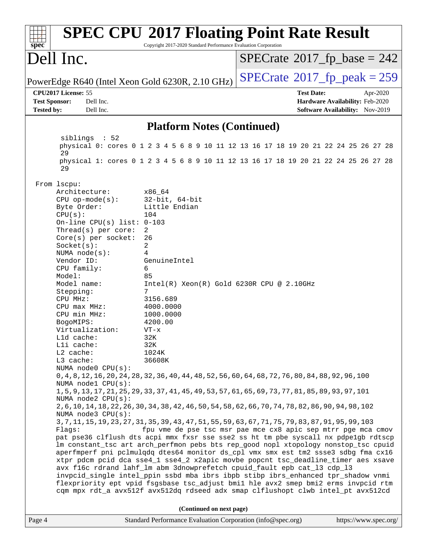| $spec^*$                                                            | Copyright 2017-2020 Standard Performance Evaluation Corporation | <b>SPEC CPU®2017 Floating Point Rate Result</b>                                                                                                                         |  |
|---------------------------------------------------------------------|-----------------------------------------------------------------|-------------------------------------------------------------------------------------------------------------------------------------------------------------------------|--|
| Dell Inc.                                                           |                                                                 | $SPECrate^{\circ}2017$ _fp_base = 242                                                                                                                                   |  |
| PowerEdge R640 (Intel Xeon Gold 6230R, 2.10 GHz)                    |                                                                 | $SPECTate@2017_fp\_peak = 259$                                                                                                                                          |  |
| CPU2017 License: 55                                                 |                                                                 | <b>Test Date:</b><br>Apr-2020                                                                                                                                           |  |
| <b>Test Sponsor:</b><br>Dell Inc.<br><b>Tested by:</b><br>Dell Inc. |                                                                 | Hardware Availability: Feb-2020<br>Software Availability: Nov-2019                                                                                                      |  |
|                                                                     |                                                                 |                                                                                                                                                                         |  |
|                                                                     | <b>Platform Notes (Continued)</b>                               |                                                                                                                                                                         |  |
| siblings : 52<br>29                                                 |                                                                 | physical 0: cores 0 1 2 3 4 5 6 8 9 10 11 12 13 16 17 18 19 20 21 22 24 25 26 27 28                                                                                     |  |
| 29                                                                  |                                                                 | physical 1: cores 0 1 2 3 4 5 6 8 9 10 11 12 13 16 17 18 19 20 21 22 24 25 26 27 28                                                                                     |  |
| From 1scpu:                                                         |                                                                 |                                                                                                                                                                         |  |
| Architecture:                                                       | x86_64                                                          |                                                                                                                                                                         |  |
| $CPU op-mode(s):$                                                   | $32$ -bit, $64$ -bit                                            |                                                                                                                                                                         |  |
| Byte Order:                                                         | Little Endian<br>104                                            |                                                                                                                                                                         |  |
| CPU(s):<br>On-line CPU(s) list: $0-103$                             |                                                                 |                                                                                                                                                                         |  |
| Thread(s) per core:                                                 | 2                                                               |                                                                                                                                                                         |  |
| Core(s) per socket:                                                 | 26                                                              |                                                                                                                                                                         |  |
| Socket(s):                                                          | 2                                                               |                                                                                                                                                                         |  |
| NUMA $node(s):$                                                     | 4                                                               |                                                                                                                                                                         |  |
| Vendor ID:                                                          | GenuineIntel                                                    |                                                                                                                                                                         |  |
| CPU family:                                                         | 6                                                               |                                                                                                                                                                         |  |
| Model:<br>Model name:                                               | 85<br>$Intel(R) Xeon(R) Gold 6230R CPU @ 2.10GHz$               |                                                                                                                                                                         |  |
| Stepping:                                                           | 7                                                               |                                                                                                                                                                         |  |
| CPU MHz:                                                            | 3156.689                                                        |                                                                                                                                                                         |  |
| CPU max MHz:                                                        | 4000.0000                                                       |                                                                                                                                                                         |  |
| CPU min MHz:                                                        | 1000.0000                                                       |                                                                                                                                                                         |  |
| BogoMIPS:                                                           | 4200.00                                                         |                                                                                                                                                                         |  |
| Virtualization:                                                     | $VT - x$                                                        |                                                                                                                                                                         |  |
| Lld cache:                                                          | 32K                                                             |                                                                                                                                                                         |  |
| Lli cache:                                                          | 32K                                                             |                                                                                                                                                                         |  |
| L2 cache:                                                           | 1024K                                                           |                                                                                                                                                                         |  |
| L3 cache:<br>NUMA node0 CPU(s):                                     | 36608K                                                          |                                                                                                                                                                         |  |
|                                                                     |                                                                 | 0, 4, 8, 12, 16, 20, 24, 28, 32, 36, 40, 44, 48, 52, 56, 60, 64, 68, 72, 76, 80, 84, 88, 92, 96, 100                                                                    |  |
| NUMA nodel CPU(s):                                                  |                                                                 |                                                                                                                                                                         |  |
| NUMA node2 CPU(s):                                                  |                                                                 | 1, 5, 9, 13, 17, 21, 25, 29, 33, 37, 41, 45, 49, 53, 57, 61, 65, 69, 73, 77, 81, 85, 89, 93, 97, 101                                                                    |  |
| NUMA node3 CPU(s):                                                  |                                                                 | 2, 6, 10, 14, 18, 22, 26, 30, 34, 38, 42, 46, 50, 54, 58, 62, 66, 70, 74, 78, 82, 86, 90, 94, 98, 102                                                                   |  |
| Flags:                                                              |                                                                 | 3, 7, 11, 15, 19, 23, 27, 31, 35, 39, 43, 47, 51, 55, 59, 63, 67, 71, 75, 79, 83, 87, 91, 95, 99, 103<br>fpu vme de pse tsc msr pae mce cx8 apic sep mtrr pge mca cmov  |  |
|                                                                     |                                                                 | pat pse36 clflush dts acpi mmx fxsr sse sse2 ss ht tm pbe syscall nx pdpelgb rdtscp                                                                                     |  |
|                                                                     |                                                                 | lm constant_tsc art arch_perfmon pebs bts rep_good nopl xtopology nonstop_tsc cpuid                                                                                     |  |
|                                                                     |                                                                 | aperfmperf pni pclmulqdq dtes64 monitor ds_cpl vmx smx est tm2 ssse3 sdbg fma cx16<br>xtpr pdcm pcid dca sse4_1 sse4_2 x2apic movbe popcnt tsc_deadline_timer aes xsave |  |
|                                                                     |                                                                 | avx f16c rdrand lahf_lm abm 3dnowprefetch cpuid_fault epb cat_13 cdp_13                                                                                                 |  |
|                                                                     |                                                                 | invpcid_single intel_ppin ssbd mba ibrs ibpb stibp ibrs_enhanced tpr_shadow vnmi                                                                                        |  |
|                                                                     |                                                                 | flexpriority ept vpid fsgsbase tsc_adjust bmil hle avx2 smep bmi2 erms invpcid rtm                                                                                      |  |
|                                                                     |                                                                 | cqm mpx rdt_a avx512f avx512dq rdseed adx smap clflushopt clwb intel_pt avx512cd                                                                                        |  |
|                                                                     | (Continued on next page)                                        |                                                                                                                                                                         |  |
| Page 4                                                              | Standard Performance Evaluation Corporation (info@spec.org)     | https://www.spec.org/                                                                                                                                                   |  |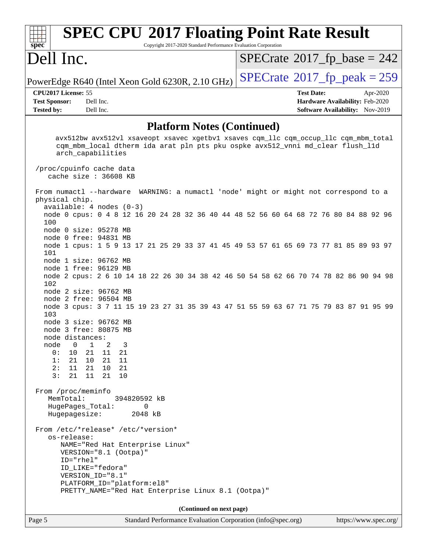| $spec^*$                                                                                                                                       | <b>SPEC CPU®2017 Floating Point Rate Result</b>                                                                                                                                             |                           |                              | Copyright 2017-2020 Standard Performance Evaluation Corporation |  |                          |  |  |  |                                                                                                |  |  |          |                                              |
|------------------------------------------------------------------------------------------------------------------------------------------------|---------------------------------------------------------------------------------------------------------------------------------------------------------------------------------------------|---------------------------|------------------------------|-----------------------------------------------------------------|--|--------------------------|--|--|--|------------------------------------------------------------------------------------------------|--|--|----------|----------------------------------------------|
| Dell Inc.                                                                                                                                      |                                                                                                                                                                                             |                           |                              |                                                                 |  |                          |  |  |  |                                                                                                |  |  |          | $SPECrate^{\circledcirc}2017_fp\_base = 242$ |
| PowerEdge R640 (Intel Xeon Gold 6230R, 2.10 GHz)                                                                                               |                                                                                                                                                                                             |                           |                              |                                                                 |  |                          |  |  |  |                                                                                                |  |  |          | $SPECTate@2017_fp\_peak = 259$               |
| CPU2017 License: 55<br><b>Test Sponsor:</b><br><b>Tested by:</b>                                                                               | Dell Inc.<br>Dell Inc.                                                                                                                                                                      |                           |                              |                                                                 |  |                          |  |  |  | <b>Test Date:</b><br>Hardware Availability: Feb-2020<br><b>Software Availability:</b> Nov-2019 |  |  | Apr-2020 |                                              |
|                                                                                                                                                |                                                                                                                                                                                             |                           |                              | <b>Platform Notes (Continued)</b>                               |  |                          |  |  |  |                                                                                                |  |  |          |                                              |
|                                                                                                                                                | avx512bw avx512vl xsaveopt xsavec xgetbvl xsaves cqm_llc cqm_occup_llc cqm_mbm_total<br>cqm_mbm_local dtherm ida arat pln pts pku ospke avx512_vnni md_clear flush_l1d<br>arch_capabilities |                           |                              |                                                                 |  |                          |  |  |  |                                                                                                |  |  |          |                                              |
| /proc/cpuinfo cache data<br>cache size : 36608 KB                                                                                              |                                                                                                                                                                                             |                           |                              |                                                                 |  |                          |  |  |  |                                                                                                |  |  |          |                                              |
| From numactl --hardware WARNING: a numactl 'node' might or might not correspond to a<br>physical chip.                                         |                                                                                                                                                                                             |                           |                              |                                                                 |  |                          |  |  |  |                                                                                                |  |  |          |                                              |
| $available: 4 nodes (0-3)$<br>node 0 cpus: 0 4 8 12 16 20 24 28 32 36 40 44 48 52 56 60 64 68 72 76 80 84 88 92 96<br>100                      |                                                                                                                                                                                             |                           |                              |                                                                 |  |                          |  |  |  |                                                                                                |  |  |          |                                              |
| node 0 size: 95278 MB<br>node 0 free: 94831 MB<br>node 1 cpus: 1 5 9 13 17 21 25 29 33 37 41 45 49 53 57 61 65 69 73 77 81 85 89 93 97<br>101  |                                                                                                                                                                                             |                           |                              |                                                                 |  |                          |  |  |  |                                                                                                |  |  |          |                                              |
| node 1 size: 96762 MB<br>node 1 free: 96129 MB<br>node 2 cpus: 2 6 10 14 18 22 26 30 34 38 42 46 50 54 58 62 66 70 74 78 82 86 90 94 98<br>102 |                                                                                                                                                                                             |                           |                              |                                                                 |  |                          |  |  |  |                                                                                                |  |  |          |                                              |
| node 2 size: 96762 MB<br>node 2 free: 96504 MB<br>node 3 cpus: 3 7 11 15 19 23 27 31 35 39 43 47 51 55 59 63 67 71 75 79 83 87 91 95 99        |                                                                                                                                                                                             |                           |                              |                                                                 |  |                          |  |  |  |                                                                                                |  |  |          |                                              |
| 103<br>node 3 size: 96762 MB<br>node 3 free: 80875 MB<br>node distances:                                                                       |                                                                                                                                                                                             |                           |                              |                                                                 |  |                          |  |  |  |                                                                                                |  |  |          |                                              |
| $\mathbf{0}$<br>node<br>0:<br>10<br>1:<br>21<br>2:<br>11<br>3:<br>21                                                                           | 1<br>2<br>21 11<br>10<br>- 21<br>21 10<br>11<br>21                                                                                                                                          | 3<br>21<br>11<br>21<br>10 |                              |                                                                 |  |                          |  |  |  |                                                                                                |  |  |          |                                              |
| From /proc/meminfo<br>MemTotal:<br>HugePages_Total:<br>Hugepagesize:                                                                           |                                                                                                                                                                                             |                           | 394820592 kB<br>0<br>2048 kB |                                                                 |  |                          |  |  |  |                                                                                                |  |  |          |                                              |
| From /etc/*release* /etc/*version*<br>os-release:<br>ID="rhel"                                                                                 | NAME="Red Hat Enterprise Linux"<br>VERSION="8.1 (Ootpa)"<br>ID_LIKE="fedora"                                                                                                                |                           |                              |                                                                 |  |                          |  |  |  |                                                                                                |  |  |          |                                              |
|                                                                                                                                                | VERSION_ID="8.1"<br>PLATFORM_ID="platform:el8"<br>PRETTY_NAME="Red Hat Enterprise Linux 8.1 (Ootpa)"                                                                                        |                           |                              |                                                                 |  |                          |  |  |  |                                                                                                |  |  |          |                                              |
|                                                                                                                                                |                                                                                                                                                                                             |                           |                              |                                                                 |  | (Continued on next page) |  |  |  |                                                                                                |  |  |          |                                              |

Page 5 Standard Performance Evaluation Corporation [\(info@spec.org\)](mailto:info@spec.org) <https://www.spec.org/>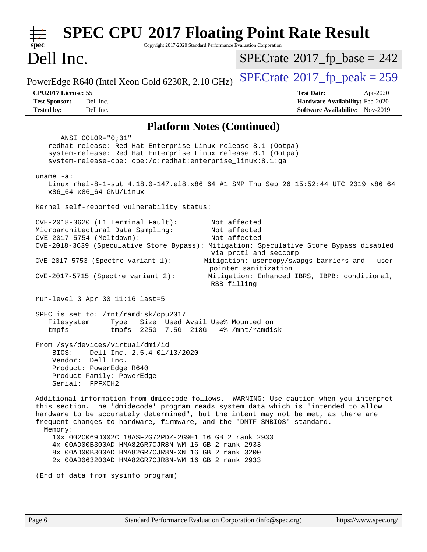| <b>SPEC CPU®2017 Floating Point Rate Result</b><br>Spec<br>Copyright 2017-2020 Standard Performance Evaluation Corporation                                                                                                                                                                                                                                                                                                                                                                                                                                                           |                                                                                                                          |
|--------------------------------------------------------------------------------------------------------------------------------------------------------------------------------------------------------------------------------------------------------------------------------------------------------------------------------------------------------------------------------------------------------------------------------------------------------------------------------------------------------------------------------------------------------------------------------------|--------------------------------------------------------------------------------------------------------------------------|
| Dell Inc.                                                                                                                                                                                                                                                                                                                                                                                                                                                                                                                                                                            | $SPECrate^{\circ}2017$ fp base = 242                                                                                     |
| PowerEdge R640 (Intel Xeon Gold 6230R, 2.10 GHz)                                                                                                                                                                                                                                                                                                                                                                                                                                                                                                                                     | $SPECTate$ <sup>®</sup> 2017_fp_peak = 259                                                                               |
| CPU2017 License: 55                                                                                                                                                                                                                                                                                                                                                                                                                                                                                                                                                                  | <b>Test Date:</b><br>Apr-2020                                                                                            |
| <b>Test Sponsor:</b><br>Dell Inc.<br>Dell Inc.<br><b>Tested by:</b>                                                                                                                                                                                                                                                                                                                                                                                                                                                                                                                  | Hardware Availability: Feb-2020<br><b>Software Availability:</b> Nov-2019                                                |
| <b>Platform Notes (Continued)</b>                                                                                                                                                                                                                                                                                                                                                                                                                                                                                                                                                    |                                                                                                                          |
| ANSI_COLOR="0;31"<br>redhat-release: Red Hat Enterprise Linux release 8.1 (Ootpa)<br>system-release: Red Hat Enterprise Linux release 8.1 (Ootpa)<br>system-release-cpe: cpe:/o:redhat:enterprise_linux:8.1:ga                                                                                                                                                                                                                                                                                                                                                                       |                                                                                                                          |
| uname $-a$ :<br>Linux rhel-8-1-sut 4.18.0-147.el8.x86_64 #1 SMP Thu Sep 26 15:52:44 UTC 2019 x86_64<br>x86_64 x86_64 GNU/Linux                                                                                                                                                                                                                                                                                                                                                                                                                                                       |                                                                                                                          |
| Kernel self-reported vulnerability status:                                                                                                                                                                                                                                                                                                                                                                                                                                                                                                                                           |                                                                                                                          |
| $CVE-2018-3620$ (L1 Terminal Fault):<br>Microarchitectural Data Sampling:<br>CVE-2017-5754 (Meltdown):<br>CVE-2018-3639 (Speculative Store Bypass): Mitigation: Speculative Store Bypass disabled<br>CVE-2017-5753 (Spectre variant 1):                                                                                                                                                                                                                                                                                                                                              | Not affected<br>Not affected<br>Not affected<br>via prctl and seccomp<br>Mitigation: usercopy/swapgs barriers and __user |
| $CVE-2017-5715$ (Spectre variant 2):<br>RSB filling                                                                                                                                                                                                                                                                                                                                                                                                                                                                                                                                  | pointer sanitization<br>Mitigation: Enhanced IBRS, IBPB: conditional,                                                    |
| run-level 3 Apr 30 11:16 last=5                                                                                                                                                                                                                                                                                                                                                                                                                                                                                                                                                      |                                                                                                                          |
| SPEC is set to: /mnt/ramdisk/cpu2017<br>Filesystem<br>Size Used Avail Use% Mounted on<br>Type<br>225G 7.5G 218G<br>tmpfs<br>tmpfs                                                                                                                                                                                                                                                                                                                                                                                                                                                    | 4% /mnt/ramdisk                                                                                                          |
| From /sys/devices/virtual/dmi/id<br>Dell Inc. 2.5.4 01/13/2020<br>BIOS:<br>Vendor: Dell Inc.<br>Product: PowerEdge R640<br>Product Family: PowerEdge<br>Serial: FPFXCH2                                                                                                                                                                                                                                                                                                                                                                                                              |                                                                                                                          |
| Additional information from dmidecode follows. WARNING: Use caution when you interpret<br>this section. The 'dmidecode' program reads system data which is "intended to allow<br>hardware to be accurately determined", but the intent may not be met, as there are<br>frequent changes to hardware, firmware, and the "DMTF SMBIOS" standard.<br>Memory:<br>10x 002C069D002C 18ASF2G72PDZ-2G9E1 16 GB 2 rank 2933<br>4x 00AD00B300AD HMA82GR7CJR8N-WM 16 GB 2 rank 2933<br>8x 00AD00B300AD HMA82GR7CJR8N-XN 16 GB 2 rank 3200<br>2x 00AD063200AD HMA82GR7CJR8N-WM 16 GB 2 rank 2933 |                                                                                                                          |
| (End of data from sysinfo program)                                                                                                                                                                                                                                                                                                                                                                                                                                                                                                                                                   |                                                                                                                          |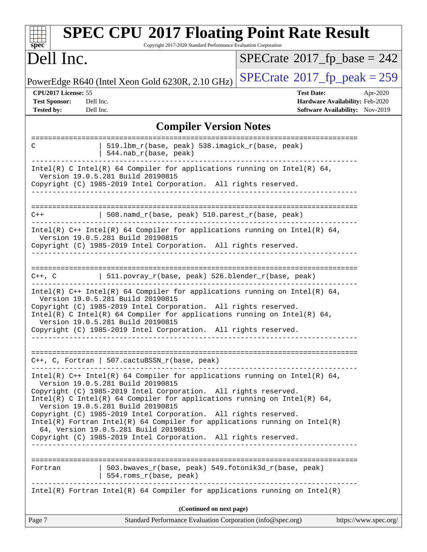| <b>SPEC CPU®2017 Floating Point Rate Result</b><br>Copyright 2017-2020 Standard Performance Evaluation Corporation<br>spec <sup>®</sup>                                                                                                                                                                                                                                                                                                                                                                                                                              |                                                                                                     |
|----------------------------------------------------------------------------------------------------------------------------------------------------------------------------------------------------------------------------------------------------------------------------------------------------------------------------------------------------------------------------------------------------------------------------------------------------------------------------------------------------------------------------------------------------------------------|-----------------------------------------------------------------------------------------------------|
| Dell Inc.                                                                                                                                                                                                                                                                                                                                                                                                                                                                                                                                                            | $SPECTate$ <sup>®</sup> 2017_fp_base = 242                                                          |
| PowerEdge R640 (Intel Xeon Gold 6230R, 2.10 GHz)                                                                                                                                                                                                                                                                                                                                                                                                                                                                                                                     | $SPECTate@2017_fp\_peak = 259$                                                                      |
| CPU2017 License: 55<br>Dell Inc.<br><b>Test Sponsor:</b><br><b>Tested by:</b><br>Dell Inc.                                                                                                                                                                                                                                                                                                                                                                                                                                                                           | <b>Test Date:</b><br>Apr-2020<br>Hardware Availability: Feb-2020<br>Software Availability: Nov-2019 |
| <b>Compiler Version Notes</b>                                                                                                                                                                                                                                                                                                                                                                                                                                                                                                                                        |                                                                                                     |
| 519.1bm_r(base, peak) 538.imagick_r(base, peak)<br>C<br>544.nab_r(base, peak)                                                                                                                                                                                                                                                                                                                                                                                                                                                                                        |                                                                                                     |
| Intel(R) C Intel(R) 64 Compiler for applications running on Intel(R) 64,<br>Version 19.0.5.281 Build 20190815<br>Copyright (C) 1985-2019 Intel Corporation. All rights reserved.                                                                                                                                                                                                                                                                                                                                                                                     |                                                                                                     |
| 508.namd_r(base, peak) 510.parest_r(base, peak)<br>$C++$                                                                                                                                                                                                                                                                                                                                                                                                                                                                                                             |                                                                                                     |
| Intel(R) $C++$ Intel(R) 64 Compiler for applications running on Intel(R) 64,<br>Version 19.0.5.281 Build 20190815<br>Copyright (C) 1985-2019 Intel Corporation. All rights reserved.                                                                                                                                                                                                                                                                                                                                                                                 |                                                                                                     |
| $511.povray_r(base, peak) 526.blender_r(base, peak)$<br>$C++$ , $C$                                                                                                                                                                                                                                                                                                                                                                                                                                                                                                  |                                                                                                     |
| Intel(R) $C++$ Intel(R) 64 Compiler for applications running on Intel(R) 64,<br>Version 19.0.5.281 Build 20190815<br>Copyright (C) 1985-2019 Intel Corporation. All rights reserved.<br>Intel(R) C Intel(R) 64 Compiler for applications running on Intel(R) 64,<br>Version 19.0.5.281 Build 20190815<br>Copyright (C) 1985-2019 Intel Corporation. All rights reserved.                                                                                                                                                                                             |                                                                                                     |
| $C++$ , C, Fortran   507.cactuBSSN_r(base, peak)                                                                                                                                                                                                                                                                                                                                                                                                                                                                                                                     |                                                                                                     |
| Intel(R) $C++$ Intel(R) 64 Compiler for applications running on Intel(R) 64,<br>Version 19.0.5.281 Build 20190815<br>Copyright (C) 1985-2019 Intel Corporation. All rights reserved.<br>Intel(R) C Intel(R) 64 Compiler for applications running on Intel(R) 64,<br>Version 19.0.5.281 Build 20190815<br>Copyright (C) 1985-2019 Intel Corporation. All rights reserved.<br>$Intel(R)$ Fortran Intel(R) 64 Compiler for applications running on Intel(R)<br>64, Version 19.0.5.281 Build 20190815<br>Copyright (C) 1985-2019 Intel Corporation. All rights reserved. |                                                                                                     |
| 503.bwaves_r(base, peak) 549.fotonik3d_r(base, peak)<br>Fortran<br>  554. $roms_r(base, peak)$                                                                                                                                                                                                                                                                                                                                                                                                                                                                       |                                                                                                     |
| $Intel(R)$ Fortran Intel(R) 64 Compiler for applications running on Intel(R)                                                                                                                                                                                                                                                                                                                                                                                                                                                                                         |                                                                                                     |
| (Continued on next page)                                                                                                                                                                                                                                                                                                                                                                                                                                                                                                                                             |                                                                                                     |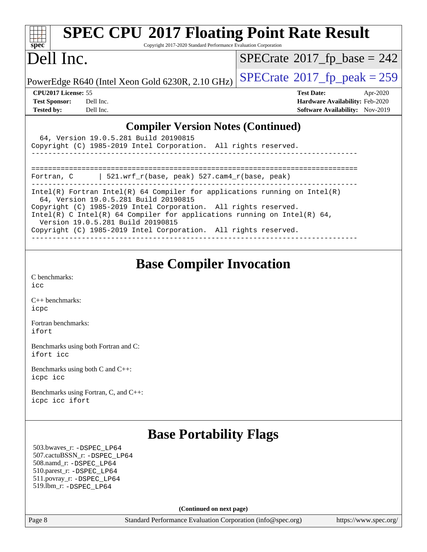| $spec^*$                                  | Copyright 2017-2020 Standard Performance Evaluation Corporation | <b>SPEC CPU®2017 Floating Point Rate Result</b> |  |  |  |  |
|-------------------------------------------|-----------------------------------------------------------------|-------------------------------------------------|--|--|--|--|
| Dell Inc.                                 |                                                                 | $SPECrate^{\circ}2017_fp\_base = 242$           |  |  |  |  |
|                                           | PowerEdge R640 (Intel Xeon Gold 6230R, 2.10 GHz)                | $SPECTate@2017fr peak = 259$                    |  |  |  |  |
| <b>CPU2017 License: 55</b>                |                                                                 | <b>Test Date:</b><br>Apr-2020                   |  |  |  |  |
| <b>Test Sponsor:</b><br>Dell Inc.         |                                                                 | Hardware Availability: Feb-2020                 |  |  |  |  |
| <b>Tested by:</b><br>Dell Inc.            |                                                                 | <b>Software Availability:</b> Nov-2019          |  |  |  |  |
| <b>Compiler Version Notes (Continued)</b> |                                                                 |                                                 |  |  |  |  |
|                                           | 64, Version 19.0.5.281 Build 20190815                           |                                                 |  |  |  |  |
|                                           | Copyright (C) 1985-2019 Intel Corporation. All rights reserved. |                                                 |  |  |  |  |
|                                           |                                                                 |                                                 |  |  |  |  |

| <b>Base Compiler Invocation</b> |  |
|---------------------------------|--|
|                                 |  |
|                                 |  |

------------------------------------------------------------------------------ Intel(R) Fortran Intel(R) 64 Compiler for applications running on Intel(R)

------------------------------------------------------------------------------

Fortran, C | 521.wrf\_r(base, peak) 527.cam4\_r(base, peak)

Copyright (C) 1985-2019 Intel Corporation. All rights reserved.

Copyright (C) 1985-2019 Intel Corporation. All rights reserved.

Intel(R) C Intel(R) 64 Compiler for applications running on Intel(R) 64,

64, Version 19.0.5.281 Build 20190815

Version 19.0.5.281 Build 20190815

[C benchmarks](http://www.spec.org/auto/cpu2017/Docs/result-fields.html#Cbenchmarks): [icc](http://www.spec.org/cpu2017/results/res2020q2/cpu2017-20200511-22406.flags.html#user_CCbase_intel_icc_66fc1ee009f7361af1fbd72ca7dcefbb700085f36577c54f309893dd4ec40d12360134090235512931783d35fd58c0460139e722d5067c5574d8eaf2b3e37e92)

[C++ benchmarks:](http://www.spec.org/auto/cpu2017/Docs/result-fields.html#CXXbenchmarks) [icpc](http://www.spec.org/cpu2017/results/res2020q2/cpu2017-20200511-22406.flags.html#user_CXXbase_intel_icpc_c510b6838c7f56d33e37e94d029a35b4a7bccf4766a728ee175e80a419847e808290a9b78be685c44ab727ea267ec2f070ec5dc83b407c0218cded6866a35d07)

[Fortran benchmarks](http://www.spec.org/auto/cpu2017/Docs/result-fields.html#Fortranbenchmarks): [ifort](http://www.spec.org/cpu2017/results/res2020q2/cpu2017-20200511-22406.flags.html#user_FCbase_intel_ifort_8111460550e3ca792625aed983ce982f94888b8b503583aa7ba2b8303487b4d8a21a13e7191a45c5fd58ff318f48f9492884d4413fa793fd88dd292cad7027ca)

[Benchmarks using both Fortran and C](http://www.spec.org/auto/cpu2017/Docs/result-fields.html#BenchmarksusingbothFortranandC): [ifort](http://www.spec.org/cpu2017/results/res2020q2/cpu2017-20200511-22406.flags.html#user_CC_FCbase_intel_ifort_8111460550e3ca792625aed983ce982f94888b8b503583aa7ba2b8303487b4d8a21a13e7191a45c5fd58ff318f48f9492884d4413fa793fd88dd292cad7027ca) [icc](http://www.spec.org/cpu2017/results/res2020q2/cpu2017-20200511-22406.flags.html#user_CC_FCbase_intel_icc_66fc1ee009f7361af1fbd72ca7dcefbb700085f36577c54f309893dd4ec40d12360134090235512931783d35fd58c0460139e722d5067c5574d8eaf2b3e37e92)

[Benchmarks using both C and C++](http://www.spec.org/auto/cpu2017/Docs/result-fields.html#BenchmarksusingbothCandCXX): [icpc](http://www.spec.org/cpu2017/results/res2020q2/cpu2017-20200511-22406.flags.html#user_CC_CXXbase_intel_icpc_c510b6838c7f56d33e37e94d029a35b4a7bccf4766a728ee175e80a419847e808290a9b78be685c44ab727ea267ec2f070ec5dc83b407c0218cded6866a35d07) [icc](http://www.spec.org/cpu2017/results/res2020q2/cpu2017-20200511-22406.flags.html#user_CC_CXXbase_intel_icc_66fc1ee009f7361af1fbd72ca7dcefbb700085f36577c54f309893dd4ec40d12360134090235512931783d35fd58c0460139e722d5067c5574d8eaf2b3e37e92)

[Benchmarks using Fortran, C, and C++:](http://www.spec.org/auto/cpu2017/Docs/result-fields.html#BenchmarksusingFortranCandCXX) [icpc](http://www.spec.org/cpu2017/results/res2020q2/cpu2017-20200511-22406.flags.html#user_CC_CXX_FCbase_intel_icpc_c510b6838c7f56d33e37e94d029a35b4a7bccf4766a728ee175e80a419847e808290a9b78be685c44ab727ea267ec2f070ec5dc83b407c0218cded6866a35d07) [icc](http://www.spec.org/cpu2017/results/res2020q2/cpu2017-20200511-22406.flags.html#user_CC_CXX_FCbase_intel_icc_66fc1ee009f7361af1fbd72ca7dcefbb700085f36577c54f309893dd4ec40d12360134090235512931783d35fd58c0460139e722d5067c5574d8eaf2b3e37e92) [ifort](http://www.spec.org/cpu2017/results/res2020q2/cpu2017-20200511-22406.flags.html#user_CC_CXX_FCbase_intel_ifort_8111460550e3ca792625aed983ce982f94888b8b503583aa7ba2b8303487b4d8a21a13e7191a45c5fd58ff318f48f9492884d4413fa793fd88dd292cad7027ca)

### **[Base Portability Flags](http://www.spec.org/auto/cpu2017/Docs/result-fields.html#BasePortabilityFlags)**

 503.bwaves\_r: [-DSPEC\\_LP64](http://www.spec.org/cpu2017/results/res2020q2/cpu2017-20200511-22406.flags.html#suite_basePORTABILITY503_bwaves_r_DSPEC_LP64) 507.cactuBSSN\_r: [-DSPEC\\_LP64](http://www.spec.org/cpu2017/results/res2020q2/cpu2017-20200511-22406.flags.html#suite_basePORTABILITY507_cactuBSSN_r_DSPEC_LP64) 508.namd\_r: [-DSPEC\\_LP64](http://www.spec.org/cpu2017/results/res2020q2/cpu2017-20200511-22406.flags.html#suite_basePORTABILITY508_namd_r_DSPEC_LP64) 510.parest\_r: [-DSPEC\\_LP64](http://www.spec.org/cpu2017/results/res2020q2/cpu2017-20200511-22406.flags.html#suite_basePORTABILITY510_parest_r_DSPEC_LP64) 511.povray\_r: [-DSPEC\\_LP64](http://www.spec.org/cpu2017/results/res2020q2/cpu2017-20200511-22406.flags.html#suite_basePORTABILITY511_povray_r_DSPEC_LP64) 519.lbm\_r: [-DSPEC\\_LP64](http://www.spec.org/cpu2017/results/res2020q2/cpu2017-20200511-22406.flags.html#suite_basePORTABILITY519_lbm_r_DSPEC_LP64)

**(Continued on next page)**

Page 8 Standard Performance Evaluation Corporation [\(info@spec.org\)](mailto:info@spec.org) <https://www.spec.org/>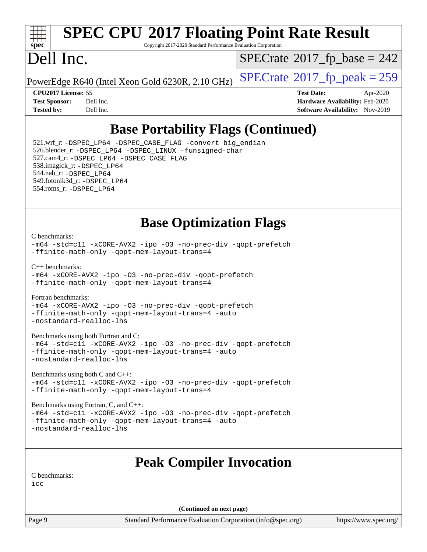

# **[SPEC CPU](http://www.spec.org/auto/cpu2017/Docs/result-fields.html#SPECCPU2017FloatingPointRateResult)[2017 Floating Point Rate Result](http://www.spec.org/auto/cpu2017/Docs/result-fields.html#SPECCPU2017FloatingPointRateResult)**

Copyright 2017-2020 Standard Performance Evaluation Corporation

# Dell Inc.

 $SPECTate$ <sup>®</sup>[2017\\_fp\\_base =](http://www.spec.org/auto/cpu2017/Docs/result-fields.html#SPECrate2017fpbase) 242

PowerEdge R640 (Intel Xeon Gold 6230R, 2.10 GHz)  $\left|$  [SPECrate](http://www.spec.org/auto/cpu2017/Docs/result-fields.html#SPECrate2017fppeak)<sup>®</sup>[2017\\_fp\\_peak = 2](http://www.spec.org/auto/cpu2017/Docs/result-fields.html#SPECrate2017fppeak)59

**[CPU2017 License:](http://www.spec.org/auto/cpu2017/Docs/result-fields.html#CPU2017License)** 55 **[Test Date:](http://www.spec.org/auto/cpu2017/Docs/result-fields.html#TestDate)** Apr-2020 **[Test Sponsor:](http://www.spec.org/auto/cpu2017/Docs/result-fields.html#TestSponsor)** Dell Inc. **[Hardware Availability:](http://www.spec.org/auto/cpu2017/Docs/result-fields.html#HardwareAvailability)** Feb-2020 **[Tested by:](http://www.spec.org/auto/cpu2017/Docs/result-fields.html#Testedby)** Dell Inc. **[Software Availability:](http://www.spec.org/auto/cpu2017/Docs/result-fields.html#SoftwareAvailability)** Nov-2019

## **[Base Portability Flags \(Continued\)](http://www.spec.org/auto/cpu2017/Docs/result-fields.html#BasePortabilityFlags)**

 521.wrf\_r: [-DSPEC\\_LP64](http://www.spec.org/cpu2017/results/res2020q2/cpu2017-20200511-22406.flags.html#suite_basePORTABILITY521_wrf_r_DSPEC_LP64) [-DSPEC\\_CASE\\_FLAG](http://www.spec.org/cpu2017/results/res2020q2/cpu2017-20200511-22406.flags.html#b521.wrf_r_baseCPORTABILITY_DSPEC_CASE_FLAG) [-convert big\\_endian](http://www.spec.org/cpu2017/results/res2020q2/cpu2017-20200511-22406.flags.html#user_baseFPORTABILITY521_wrf_r_convert_big_endian_c3194028bc08c63ac5d04de18c48ce6d347e4e562e8892b8bdbdc0214820426deb8554edfa529a3fb25a586e65a3d812c835984020483e7e73212c4d31a38223) 526.blender\_r: [-DSPEC\\_LP64](http://www.spec.org/cpu2017/results/res2020q2/cpu2017-20200511-22406.flags.html#suite_basePORTABILITY526_blender_r_DSPEC_LP64) [-DSPEC\\_LINUX](http://www.spec.org/cpu2017/results/res2020q2/cpu2017-20200511-22406.flags.html#b526.blender_r_baseCPORTABILITY_DSPEC_LINUX) [-funsigned-char](http://www.spec.org/cpu2017/results/res2020q2/cpu2017-20200511-22406.flags.html#user_baseCPORTABILITY526_blender_r_force_uchar_40c60f00ab013830e2dd6774aeded3ff59883ba5a1fc5fc14077f794d777847726e2a5858cbc7672e36e1b067e7e5c1d9a74f7176df07886a243d7cc18edfe67) 527.cam4\_r: [-DSPEC\\_LP64](http://www.spec.org/cpu2017/results/res2020q2/cpu2017-20200511-22406.flags.html#suite_basePORTABILITY527_cam4_r_DSPEC_LP64) [-DSPEC\\_CASE\\_FLAG](http://www.spec.org/cpu2017/results/res2020q2/cpu2017-20200511-22406.flags.html#b527.cam4_r_baseCPORTABILITY_DSPEC_CASE_FLAG) 538.imagick\_r: [-DSPEC\\_LP64](http://www.spec.org/cpu2017/results/res2020q2/cpu2017-20200511-22406.flags.html#suite_basePORTABILITY538_imagick_r_DSPEC_LP64) 544.nab\_r: [-DSPEC\\_LP64](http://www.spec.org/cpu2017/results/res2020q2/cpu2017-20200511-22406.flags.html#suite_basePORTABILITY544_nab_r_DSPEC_LP64) 549.fotonik3d\_r: [-DSPEC\\_LP64](http://www.spec.org/cpu2017/results/res2020q2/cpu2017-20200511-22406.flags.html#suite_basePORTABILITY549_fotonik3d_r_DSPEC_LP64) 554.roms\_r: [-DSPEC\\_LP64](http://www.spec.org/cpu2017/results/res2020q2/cpu2017-20200511-22406.flags.html#suite_basePORTABILITY554_roms_r_DSPEC_LP64)

### **[Base Optimization Flags](http://www.spec.org/auto/cpu2017/Docs/result-fields.html#BaseOptimizationFlags)**

#### [C benchmarks](http://www.spec.org/auto/cpu2017/Docs/result-fields.html#Cbenchmarks):

[-m64](http://www.spec.org/cpu2017/results/res2020q2/cpu2017-20200511-22406.flags.html#user_CCbase_m64-icc) [-std=c11](http://www.spec.org/cpu2017/results/res2020q2/cpu2017-20200511-22406.flags.html#user_CCbase_std-icc-std_0e1c27790398a4642dfca32ffe6c27b5796f9c2d2676156f2e42c9c44eaad0c049b1cdb667a270c34d979996257aeb8fc440bfb01818dbc9357bd9d174cb8524) [-xCORE-AVX2](http://www.spec.org/cpu2017/results/res2020q2/cpu2017-20200511-22406.flags.html#user_CCbase_f-xCORE-AVX2) [-ipo](http://www.spec.org/cpu2017/results/res2020q2/cpu2017-20200511-22406.flags.html#user_CCbase_f-ipo) [-O3](http://www.spec.org/cpu2017/results/res2020q2/cpu2017-20200511-22406.flags.html#user_CCbase_f-O3) [-no-prec-div](http://www.spec.org/cpu2017/results/res2020q2/cpu2017-20200511-22406.flags.html#user_CCbase_f-no-prec-div) [-qopt-prefetch](http://www.spec.org/cpu2017/results/res2020q2/cpu2017-20200511-22406.flags.html#user_CCbase_f-qopt-prefetch) [-ffinite-math-only](http://www.spec.org/cpu2017/results/res2020q2/cpu2017-20200511-22406.flags.html#user_CCbase_f_finite_math_only_cb91587bd2077682c4b38af759c288ed7c732db004271a9512da14a4f8007909a5f1427ecbf1a0fb78ff2a814402c6114ac565ca162485bbcae155b5e4258871) [-qopt-mem-layout-trans=4](http://www.spec.org/cpu2017/results/res2020q2/cpu2017-20200511-22406.flags.html#user_CCbase_f-qopt-mem-layout-trans_fa39e755916c150a61361b7846f310bcdf6f04e385ef281cadf3647acec3f0ae266d1a1d22d972a7087a248fd4e6ca390a3634700869573d231a252c784941a8)

#### [C++ benchmarks:](http://www.spec.org/auto/cpu2017/Docs/result-fields.html#CXXbenchmarks)

[-m64](http://www.spec.org/cpu2017/results/res2020q2/cpu2017-20200511-22406.flags.html#user_CXXbase_m64-icc) [-xCORE-AVX2](http://www.spec.org/cpu2017/results/res2020q2/cpu2017-20200511-22406.flags.html#user_CXXbase_f-xCORE-AVX2) [-ipo](http://www.spec.org/cpu2017/results/res2020q2/cpu2017-20200511-22406.flags.html#user_CXXbase_f-ipo) [-O3](http://www.spec.org/cpu2017/results/res2020q2/cpu2017-20200511-22406.flags.html#user_CXXbase_f-O3) [-no-prec-div](http://www.spec.org/cpu2017/results/res2020q2/cpu2017-20200511-22406.flags.html#user_CXXbase_f-no-prec-div) [-qopt-prefetch](http://www.spec.org/cpu2017/results/res2020q2/cpu2017-20200511-22406.flags.html#user_CXXbase_f-qopt-prefetch) [-ffinite-math-only](http://www.spec.org/cpu2017/results/res2020q2/cpu2017-20200511-22406.flags.html#user_CXXbase_f_finite_math_only_cb91587bd2077682c4b38af759c288ed7c732db004271a9512da14a4f8007909a5f1427ecbf1a0fb78ff2a814402c6114ac565ca162485bbcae155b5e4258871) [-qopt-mem-layout-trans=4](http://www.spec.org/cpu2017/results/res2020q2/cpu2017-20200511-22406.flags.html#user_CXXbase_f-qopt-mem-layout-trans_fa39e755916c150a61361b7846f310bcdf6f04e385ef281cadf3647acec3f0ae266d1a1d22d972a7087a248fd4e6ca390a3634700869573d231a252c784941a8)

### [Fortran benchmarks](http://www.spec.org/auto/cpu2017/Docs/result-fields.html#Fortranbenchmarks):

[-m64](http://www.spec.org/cpu2017/results/res2020q2/cpu2017-20200511-22406.flags.html#user_FCbase_m64-icc) [-xCORE-AVX2](http://www.spec.org/cpu2017/results/res2020q2/cpu2017-20200511-22406.flags.html#user_FCbase_f-xCORE-AVX2) [-ipo](http://www.spec.org/cpu2017/results/res2020q2/cpu2017-20200511-22406.flags.html#user_FCbase_f-ipo) [-O3](http://www.spec.org/cpu2017/results/res2020q2/cpu2017-20200511-22406.flags.html#user_FCbase_f-O3) [-no-prec-div](http://www.spec.org/cpu2017/results/res2020q2/cpu2017-20200511-22406.flags.html#user_FCbase_f-no-prec-div) [-qopt-prefetch](http://www.spec.org/cpu2017/results/res2020q2/cpu2017-20200511-22406.flags.html#user_FCbase_f-qopt-prefetch) [-ffinite-math-only](http://www.spec.org/cpu2017/results/res2020q2/cpu2017-20200511-22406.flags.html#user_FCbase_f_finite_math_only_cb91587bd2077682c4b38af759c288ed7c732db004271a9512da14a4f8007909a5f1427ecbf1a0fb78ff2a814402c6114ac565ca162485bbcae155b5e4258871) [-qopt-mem-layout-trans=4](http://www.spec.org/cpu2017/results/res2020q2/cpu2017-20200511-22406.flags.html#user_FCbase_f-qopt-mem-layout-trans_fa39e755916c150a61361b7846f310bcdf6f04e385ef281cadf3647acec3f0ae266d1a1d22d972a7087a248fd4e6ca390a3634700869573d231a252c784941a8) [-auto](http://www.spec.org/cpu2017/results/res2020q2/cpu2017-20200511-22406.flags.html#user_FCbase_f-auto) [-nostandard-realloc-lhs](http://www.spec.org/cpu2017/results/res2020q2/cpu2017-20200511-22406.flags.html#user_FCbase_f_2003_std_realloc_82b4557e90729c0f113870c07e44d33d6f5a304b4f63d4c15d2d0f1fab99f5daaed73bdb9275d9ae411527f28b936061aa8b9c8f2d63842963b95c9dd6426b8a)

### [Benchmarks using both Fortran and C](http://www.spec.org/auto/cpu2017/Docs/result-fields.html#BenchmarksusingbothFortranandC):

[-m64](http://www.spec.org/cpu2017/results/res2020q2/cpu2017-20200511-22406.flags.html#user_CC_FCbase_m64-icc) [-std=c11](http://www.spec.org/cpu2017/results/res2020q2/cpu2017-20200511-22406.flags.html#user_CC_FCbase_std-icc-std_0e1c27790398a4642dfca32ffe6c27b5796f9c2d2676156f2e42c9c44eaad0c049b1cdb667a270c34d979996257aeb8fc440bfb01818dbc9357bd9d174cb8524) [-xCORE-AVX2](http://www.spec.org/cpu2017/results/res2020q2/cpu2017-20200511-22406.flags.html#user_CC_FCbase_f-xCORE-AVX2) [-ipo](http://www.spec.org/cpu2017/results/res2020q2/cpu2017-20200511-22406.flags.html#user_CC_FCbase_f-ipo) [-O3](http://www.spec.org/cpu2017/results/res2020q2/cpu2017-20200511-22406.flags.html#user_CC_FCbase_f-O3) [-no-prec-div](http://www.spec.org/cpu2017/results/res2020q2/cpu2017-20200511-22406.flags.html#user_CC_FCbase_f-no-prec-div) [-qopt-prefetch](http://www.spec.org/cpu2017/results/res2020q2/cpu2017-20200511-22406.flags.html#user_CC_FCbase_f-qopt-prefetch) [-ffinite-math-only](http://www.spec.org/cpu2017/results/res2020q2/cpu2017-20200511-22406.flags.html#user_CC_FCbase_f_finite_math_only_cb91587bd2077682c4b38af759c288ed7c732db004271a9512da14a4f8007909a5f1427ecbf1a0fb78ff2a814402c6114ac565ca162485bbcae155b5e4258871) [-qopt-mem-layout-trans=4](http://www.spec.org/cpu2017/results/res2020q2/cpu2017-20200511-22406.flags.html#user_CC_FCbase_f-qopt-mem-layout-trans_fa39e755916c150a61361b7846f310bcdf6f04e385ef281cadf3647acec3f0ae266d1a1d22d972a7087a248fd4e6ca390a3634700869573d231a252c784941a8) [-auto](http://www.spec.org/cpu2017/results/res2020q2/cpu2017-20200511-22406.flags.html#user_CC_FCbase_f-auto) [-nostandard-realloc-lhs](http://www.spec.org/cpu2017/results/res2020q2/cpu2017-20200511-22406.flags.html#user_CC_FCbase_f_2003_std_realloc_82b4557e90729c0f113870c07e44d33d6f5a304b4f63d4c15d2d0f1fab99f5daaed73bdb9275d9ae411527f28b936061aa8b9c8f2d63842963b95c9dd6426b8a)

### [Benchmarks using both C and C++](http://www.spec.org/auto/cpu2017/Docs/result-fields.html#BenchmarksusingbothCandCXX):

[-m64](http://www.spec.org/cpu2017/results/res2020q2/cpu2017-20200511-22406.flags.html#user_CC_CXXbase_m64-icc) [-std=c11](http://www.spec.org/cpu2017/results/res2020q2/cpu2017-20200511-22406.flags.html#user_CC_CXXbase_std-icc-std_0e1c27790398a4642dfca32ffe6c27b5796f9c2d2676156f2e42c9c44eaad0c049b1cdb667a270c34d979996257aeb8fc440bfb01818dbc9357bd9d174cb8524) [-xCORE-AVX2](http://www.spec.org/cpu2017/results/res2020q2/cpu2017-20200511-22406.flags.html#user_CC_CXXbase_f-xCORE-AVX2) [-ipo](http://www.spec.org/cpu2017/results/res2020q2/cpu2017-20200511-22406.flags.html#user_CC_CXXbase_f-ipo) [-O3](http://www.spec.org/cpu2017/results/res2020q2/cpu2017-20200511-22406.flags.html#user_CC_CXXbase_f-O3) [-no-prec-div](http://www.spec.org/cpu2017/results/res2020q2/cpu2017-20200511-22406.flags.html#user_CC_CXXbase_f-no-prec-div) [-qopt-prefetch](http://www.spec.org/cpu2017/results/res2020q2/cpu2017-20200511-22406.flags.html#user_CC_CXXbase_f-qopt-prefetch) [-ffinite-math-only](http://www.spec.org/cpu2017/results/res2020q2/cpu2017-20200511-22406.flags.html#user_CC_CXXbase_f_finite_math_only_cb91587bd2077682c4b38af759c288ed7c732db004271a9512da14a4f8007909a5f1427ecbf1a0fb78ff2a814402c6114ac565ca162485bbcae155b5e4258871) [-qopt-mem-layout-trans=4](http://www.spec.org/cpu2017/results/res2020q2/cpu2017-20200511-22406.flags.html#user_CC_CXXbase_f-qopt-mem-layout-trans_fa39e755916c150a61361b7846f310bcdf6f04e385ef281cadf3647acec3f0ae266d1a1d22d972a7087a248fd4e6ca390a3634700869573d231a252c784941a8)

### [Benchmarks using Fortran, C, and C++:](http://www.spec.org/auto/cpu2017/Docs/result-fields.html#BenchmarksusingFortranCandCXX)

```
-m64 -std=c11 -xCORE-AVX2 -ipo -O3 -no-prec-div -qopt-prefetch
-ffinite-math-only -qopt-mem-layout-trans=4 -auto
-nostandard-realloc-lhs
```
### **[Peak Compiler Invocation](http://www.spec.org/auto/cpu2017/Docs/result-fields.html#PeakCompilerInvocation)**

[C benchmarks](http://www.spec.org/auto/cpu2017/Docs/result-fields.html#Cbenchmarks):

[icc](http://www.spec.org/cpu2017/results/res2020q2/cpu2017-20200511-22406.flags.html#user_CCpeak_intel_icc_66fc1ee009f7361af1fbd72ca7dcefbb700085f36577c54f309893dd4ec40d12360134090235512931783d35fd58c0460139e722d5067c5574d8eaf2b3e37e92)

**(Continued on next page)**

Page 9 Standard Performance Evaluation Corporation [\(info@spec.org\)](mailto:info@spec.org) <https://www.spec.org/>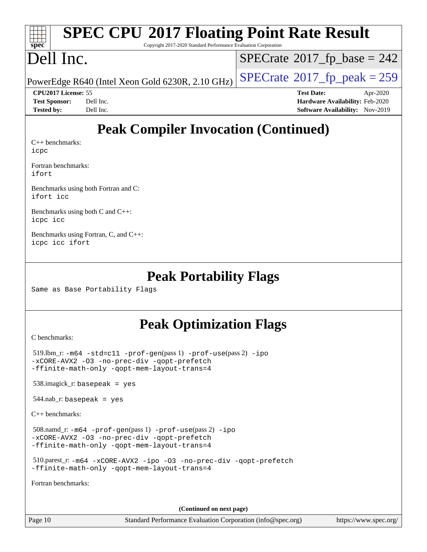| $\frac{1}{2}$<br>$Spec^*$ | <b>SPEC CPU®2017 Floating Point Rate Result</b><br>Copyright 2017-2020 Standard Performance Evaluation Corporation |                                             |
|---------------------------|--------------------------------------------------------------------------------------------------------------------|---------------------------------------------|
|                           | Dell Inc.                                                                                                          | $\text{SPECrate}^{\circ}2017$ fp base = 242 |

PowerEdge R640 (Intel Xeon Gold 6230R, 2.10 GHz)  $\left|$  [SPECrate](http://www.spec.org/auto/cpu2017/Docs/result-fields.html#SPECrate2017fppeak)®[2017\\_fp\\_peak = 2](http://www.spec.org/auto/cpu2017/Docs/result-fields.html#SPECrate2017fppeak)59

**[CPU2017 License:](http://www.spec.org/auto/cpu2017/Docs/result-fields.html#CPU2017License)** 55 **[Test Date:](http://www.spec.org/auto/cpu2017/Docs/result-fields.html#TestDate)** Apr-2020 **[Test Sponsor:](http://www.spec.org/auto/cpu2017/Docs/result-fields.html#TestSponsor)** Dell Inc. **[Hardware Availability:](http://www.spec.org/auto/cpu2017/Docs/result-fields.html#HardwareAvailability)** Feb-2020 **[Tested by:](http://www.spec.org/auto/cpu2017/Docs/result-fields.html#Testedby)** Dell Inc. **[Software Availability:](http://www.spec.org/auto/cpu2017/Docs/result-fields.html#SoftwareAvailability)** Nov-2019

# **[Peak Compiler Invocation \(Continued\)](http://www.spec.org/auto/cpu2017/Docs/result-fields.html#PeakCompilerInvocation)**

[C++ benchmarks:](http://www.spec.org/auto/cpu2017/Docs/result-fields.html#CXXbenchmarks) [icpc](http://www.spec.org/cpu2017/results/res2020q2/cpu2017-20200511-22406.flags.html#user_CXXpeak_intel_icpc_c510b6838c7f56d33e37e94d029a35b4a7bccf4766a728ee175e80a419847e808290a9b78be685c44ab727ea267ec2f070ec5dc83b407c0218cded6866a35d07)

[Fortran benchmarks](http://www.spec.org/auto/cpu2017/Docs/result-fields.html#Fortranbenchmarks): [ifort](http://www.spec.org/cpu2017/results/res2020q2/cpu2017-20200511-22406.flags.html#user_FCpeak_intel_ifort_8111460550e3ca792625aed983ce982f94888b8b503583aa7ba2b8303487b4d8a21a13e7191a45c5fd58ff318f48f9492884d4413fa793fd88dd292cad7027ca)

[Benchmarks using both Fortran and C](http://www.spec.org/auto/cpu2017/Docs/result-fields.html#BenchmarksusingbothFortranandC): [ifort](http://www.spec.org/cpu2017/results/res2020q2/cpu2017-20200511-22406.flags.html#user_CC_FCpeak_intel_ifort_8111460550e3ca792625aed983ce982f94888b8b503583aa7ba2b8303487b4d8a21a13e7191a45c5fd58ff318f48f9492884d4413fa793fd88dd292cad7027ca) [icc](http://www.spec.org/cpu2017/results/res2020q2/cpu2017-20200511-22406.flags.html#user_CC_FCpeak_intel_icc_66fc1ee009f7361af1fbd72ca7dcefbb700085f36577c54f309893dd4ec40d12360134090235512931783d35fd58c0460139e722d5067c5574d8eaf2b3e37e92)

[Benchmarks using both C and C++](http://www.spec.org/auto/cpu2017/Docs/result-fields.html#BenchmarksusingbothCandCXX): [icpc](http://www.spec.org/cpu2017/results/res2020q2/cpu2017-20200511-22406.flags.html#user_CC_CXXpeak_intel_icpc_c510b6838c7f56d33e37e94d029a35b4a7bccf4766a728ee175e80a419847e808290a9b78be685c44ab727ea267ec2f070ec5dc83b407c0218cded6866a35d07) [icc](http://www.spec.org/cpu2017/results/res2020q2/cpu2017-20200511-22406.flags.html#user_CC_CXXpeak_intel_icc_66fc1ee009f7361af1fbd72ca7dcefbb700085f36577c54f309893dd4ec40d12360134090235512931783d35fd58c0460139e722d5067c5574d8eaf2b3e37e92)

[Benchmarks using Fortran, C, and C++:](http://www.spec.org/auto/cpu2017/Docs/result-fields.html#BenchmarksusingFortranCandCXX) [icpc](http://www.spec.org/cpu2017/results/res2020q2/cpu2017-20200511-22406.flags.html#user_CC_CXX_FCpeak_intel_icpc_c510b6838c7f56d33e37e94d029a35b4a7bccf4766a728ee175e80a419847e808290a9b78be685c44ab727ea267ec2f070ec5dc83b407c0218cded6866a35d07) [icc](http://www.spec.org/cpu2017/results/res2020q2/cpu2017-20200511-22406.flags.html#user_CC_CXX_FCpeak_intel_icc_66fc1ee009f7361af1fbd72ca7dcefbb700085f36577c54f309893dd4ec40d12360134090235512931783d35fd58c0460139e722d5067c5574d8eaf2b3e37e92) [ifort](http://www.spec.org/cpu2017/results/res2020q2/cpu2017-20200511-22406.flags.html#user_CC_CXX_FCpeak_intel_ifort_8111460550e3ca792625aed983ce982f94888b8b503583aa7ba2b8303487b4d8a21a13e7191a45c5fd58ff318f48f9492884d4413fa793fd88dd292cad7027ca)

### **[Peak Portability Flags](http://www.spec.org/auto/cpu2017/Docs/result-fields.html#PeakPortabilityFlags)**

Same as Base Portability Flags

### **[Peak Optimization Flags](http://www.spec.org/auto/cpu2017/Docs/result-fields.html#PeakOptimizationFlags)**

[C benchmarks](http://www.spec.org/auto/cpu2017/Docs/result-fields.html#Cbenchmarks):

 519.lbm\_r: [-m64](http://www.spec.org/cpu2017/results/res2020q2/cpu2017-20200511-22406.flags.html#user_peakCCLD519_lbm_r_m64-icc) [-std=c11](http://www.spec.org/cpu2017/results/res2020q2/cpu2017-20200511-22406.flags.html#user_peakCCLD519_lbm_r_std-icc-std_0e1c27790398a4642dfca32ffe6c27b5796f9c2d2676156f2e42c9c44eaad0c049b1cdb667a270c34d979996257aeb8fc440bfb01818dbc9357bd9d174cb8524) [-prof-gen](http://www.spec.org/cpu2017/results/res2020q2/cpu2017-20200511-22406.flags.html#user_peakPASS1_CFLAGSPASS1_LDFLAGS519_lbm_r_prof_gen_5aa4926d6013ddb2a31985c654b3eb18169fc0c6952a63635c234f711e6e63dd76e94ad52365559451ec499a2cdb89e4dc58ba4c67ef54ca681ffbe1461d6b36)(pass 1) [-prof-use](http://www.spec.org/cpu2017/results/res2020q2/cpu2017-20200511-22406.flags.html#user_peakPASS2_CFLAGSPASS2_LDFLAGS519_lbm_r_prof_use_1a21ceae95f36a2b53c25747139a6c16ca95bd9def2a207b4f0849963b97e94f5260e30a0c64f4bb623698870e679ca08317ef8150905d41bd88c6f78df73f19)(pass 2) [-ipo](http://www.spec.org/cpu2017/results/res2020q2/cpu2017-20200511-22406.flags.html#user_peakPASS1_COPTIMIZEPASS2_COPTIMIZE519_lbm_r_f-ipo) [-xCORE-AVX2](http://www.spec.org/cpu2017/results/res2020q2/cpu2017-20200511-22406.flags.html#user_peakPASS2_COPTIMIZE519_lbm_r_f-xCORE-AVX2) [-O3](http://www.spec.org/cpu2017/results/res2020q2/cpu2017-20200511-22406.flags.html#user_peakPASS1_COPTIMIZEPASS2_COPTIMIZE519_lbm_r_f-O3) [-no-prec-div](http://www.spec.org/cpu2017/results/res2020q2/cpu2017-20200511-22406.flags.html#user_peakPASS1_COPTIMIZEPASS2_COPTIMIZE519_lbm_r_f-no-prec-div) [-qopt-prefetch](http://www.spec.org/cpu2017/results/res2020q2/cpu2017-20200511-22406.flags.html#user_peakPASS1_COPTIMIZEPASS2_COPTIMIZE519_lbm_r_f-qopt-prefetch) [-ffinite-math-only](http://www.spec.org/cpu2017/results/res2020q2/cpu2017-20200511-22406.flags.html#user_peakPASS1_COPTIMIZEPASS2_COPTIMIZE519_lbm_r_f_finite_math_only_cb91587bd2077682c4b38af759c288ed7c732db004271a9512da14a4f8007909a5f1427ecbf1a0fb78ff2a814402c6114ac565ca162485bbcae155b5e4258871) [-qopt-mem-layout-trans=4](http://www.spec.org/cpu2017/results/res2020q2/cpu2017-20200511-22406.flags.html#user_peakPASS1_COPTIMIZEPASS2_COPTIMIZE519_lbm_r_f-qopt-mem-layout-trans_fa39e755916c150a61361b7846f310bcdf6f04e385ef281cadf3647acec3f0ae266d1a1d22d972a7087a248fd4e6ca390a3634700869573d231a252c784941a8) 538.imagick\_r: basepeak = yes

544.nab\_r: basepeak = yes

[C++ benchmarks:](http://www.spec.org/auto/cpu2017/Docs/result-fields.html#CXXbenchmarks)

 508.namd\_r: [-m64](http://www.spec.org/cpu2017/results/res2020q2/cpu2017-20200511-22406.flags.html#user_peakCXXLD508_namd_r_m64-icc) [-prof-gen](http://www.spec.org/cpu2017/results/res2020q2/cpu2017-20200511-22406.flags.html#user_peakPASS1_CXXFLAGSPASS1_LDFLAGS508_namd_r_prof_gen_5aa4926d6013ddb2a31985c654b3eb18169fc0c6952a63635c234f711e6e63dd76e94ad52365559451ec499a2cdb89e4dc58ba4c67ef54ca681ffbe1461d6b36)(pass 1) [-prof-use](http://www.spec.org/cpu2017/results/res2020q2/cpu2017-20200511-22406.flags.html#user_peakPASS2_CXXFLAGSPASS2_LDFLAGS508_namd_r_prof_use_1a21ceae95f36a2b53c25747139a6c16ca95bd9def2a207b4f0849963b97e94f5260e30a0c64f4bb623698870e679ca08317ef8150905d41bd88c6f78df73f19)(pass 2) [-ipo](http://www.spec.org/cpu2017/results/res2020q2/cpu2017-20200511-22406.flags.html#user_peakPASS1_CXXOPTIMIZEPASS2_CXXOPTIMIZE508_namd_r_f-ipo) [-xCORE-AVX2](http://www.spec.org/cpu2017/results/res2020q2/cpu2017-20200511-22406.flags.html#user_peakPASS2_CXXOPTIMIZE508_namd_r_f-xCORE-AVX2) [-O3](http://www.spec.org/cpu2017/results/res2020q2/cpu2017-20200511-22406.flags.html#user_peakPASS1_CXXOPTIMIZEPASS2_CXXOPTIMIZE508_namd_r_f-O3) [-no-prec-div](http://www.spec.org/cpu2017/results/res2020q2/cpu2017-20200511-22406.flags.html#user_peakPASS1_CXXOPTIMIZEPASS2_CXXOPTIMIZE508_namd_r_f-no-prec-div) [-qopt-prefetch](http://www.spec.org/cpu2017/results/res2020q2/cpu2017-20200511-22406.flags.html#user_peakPASS1_CXXOPTIMIZEPASS2_CXXOPTIMIZE508_namd_r_f-qopt-prefetch) [-ffinite-math-only](http://www.spec.org/cpu2017/results/res2020q2/cpu2017-20200511-22406.flags.html#user_peakPASS1_CXXOPTIMIZEPASS2_CXXOPTIMIZE508_namd_r_f_finite_math_only_cb91587bd2077682c4b38af759c288ed7c732db004271a9512da14a4f8007909a5f1427ecbf1a0fb78ff2a814402c6114ac565ca162485bbcae155b5e4258871) [-qopt-mem-layout-trans=4](http://www.spec.org/cpu2017/results/res2020q2/cpu2017-20200511-22406.flags.html#user_peakPASS1_CXXOPTIMIZEPASS2_CXXOPTIMIZE508_namd_r_f-qopt-mem-layout-trans_fa39e755916c150a61361b7846f310bcdf6f04e385ef281cadf3647acec3f0ae266d1a1d22d972a7087a248fd4e6ca390a3634700869573d231a252c784941a8)

 510.parest\_r: [-m64](http://www.spec.org/cpu2017/results/res2020q2/cpu2017-20200511-22406.flags.html#user_peakCXXLD510_parest_r_m64-icc) [-xCORE-AVX2](http://www.spec.org/cpu2017/results/res2020q2/cpu2017-20200511-22406.flags.html#user_peakCXXOPTIMIZE510_parest_r_f-xCORE-AVX2) [-ipo](http://www.spec.org/cpu2017/results/res2020q2/cpu2017-20200511-22406.flags.html#user_peakCXXOPTIMIZE510_parest_r_f-ipo) [-O3](http://www.spec.org/cpu2017/results/res2020q2/cpu2017-20200511-22406.flags.html#user_peakCXXOPTIMIZE510_parest_r_f-O3) [-no-prec-div](http://www.spec.org/cpu2017/results/res2020q2/cpu2017-20200511-22406.flags.html#user_peakCXXOPTIMIZE510_parest_r_f-no-prec-div) [-qopt-prefetch](http://www.spec.org/cpu2017/results/res2020q2/cpu2017-20200511-22406.flags.html#user_peakCXXOPTIMIZE510_parest_r_f-qopt-prefetch) [-ffinite-math-only](http://www.spec.org/cpu2017/results/res2020q2/cpu2017-20200511-22406.flags.html#user_peakCXXOPTIMIZE510_parest_r_f_finite_math_only_cb91587bd2077682c4b38af759c288ed7c732db004271a9512da14a4f8007909a5f1427ecbf1a0fb78ff2a814402c6114ac565ca162485bbcae155b5e4258871) [-qopt-mem-layout-trans=4](http://www.spec.org/cpu2017/results/res2020q2/cpu2017-20200511-22406.flags.html#user_peakCXXOPTIMIZE510_parest_r_f-qopt-mem-layout-trans_fa39e755916c150a61361b7846f310bcdf6f04e385ef281cadf3647acec3f0ae266d1a1d22d972a7087a248fd4e6ca390a3634700869573d231a252c784941a8)

[Fortran benchmarks](http://www.spec.org/auto/cpu2017/Docs/result-fields.html#Fortranbenchmarks):

**(Continued on next page)**